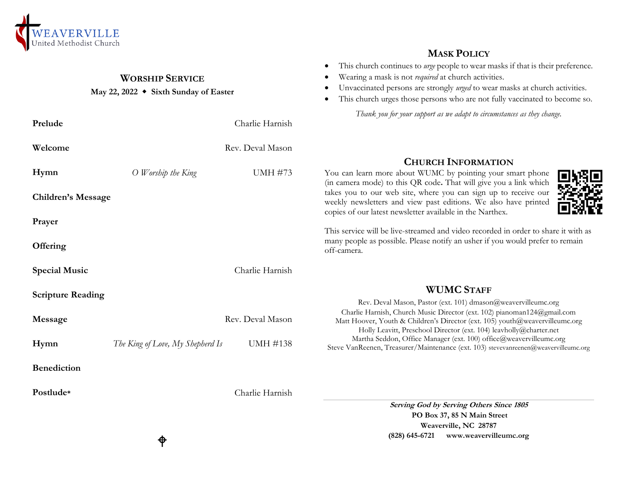

## **WORSHIP SERVICE**

## **May 22, 2022 Sixth Sunday of Easter**

| Prelude                   | Charlie Harnish                                     | Thank you for your support as we adapt to circumstances as they change.                                                                                                                                                       |
|---------------------------|-----------------------------------------------------|-------------------------------------------------------------------------------------------------------------------------------------------------------------------------------------------------------------------------------|
| Welcome                   | Rev. Deval Mason                                    |                                                                                                                                                                                                                               |
| Hymn                      | <b>UMH #73</b><br>O Worship the King                | <b>CHURCH INFORMATION</b><br>You can learn more about WUMC by pointing your smart phone<br>(in camera mode) to this QR code. That will give you a link which                                                                  |
| <b>Children's Message</b> |                                                     | takes you to our web site, where you can sign up to receive our<br>weekly newsletters and view past editions. We also have printed<br>copies of our latest newsletter available in the Narthex.                               |
| Prayer                    |                                                     | This service will be live-streamed and video recorded in order to share it with as                                                                                                                                            |
| Offering                  |                                                     | many people as possible. Please notify an usher if you would prefer to remain<br>off-camera.                                                                                                                                  |
| <b>Special Music</b>      | Charlie Harnish                                     |                                                                                                                                                                                                                               |
| <b>Scripture Reading</b>  |                                                     | <b>WUMC STAFF</b><br>Rev. Deval Mason, Pastor (ext. 101) dmason@weavervilleumc.org                                                                                                                                            |
| Message                   | Rev. Deval Mason                                    | Charlie Harnish, Church Music Director (ext. 102) pianoman124@gmail.com<br>Matt Hoover, Youth & Children's Director (ext. 105) youth@weavervilleumc.org<br>Holly Leavitt, Preschool Director (ext. 104) leavholly@charter.net |
| Hymn                      | <b>UMH #138</b><br>The King of Love, My Shepherd Is | Martha Seddon, Office Manager (ext. 100) office@weavervilleumc.org<br>Steve VanReenen, Treasurer/Maintenance (ext. 103) stevevanreenen@weavervilleumc.org                                                                     |
| <b>Benediction</b>        |                                                     |                                                                                                                                                                                                                               |
| Postlude*                 | Charlie Harnish                                     | $\alpha$ is $\alpha$ if $\alpha$ if $\alpha$ if                                                                                                                                                                               |

**Serving God by Serving Others Since 1805 PO Box 37, 85 N Main Street Weaverville, NC 28787 (828) 645-6721 [www.weavervilleumc.org](http://www.weavervilleumc.org/)**

**MASK POLICY** This church continues to *urge* people to wear masks if that is their preference.

 Unvaccinated persons are strongly *urged* to wear masks at church activities. This church urges those persons who are not fully vaccinated to become so.

Wearing a mask is not *required* at church activities.